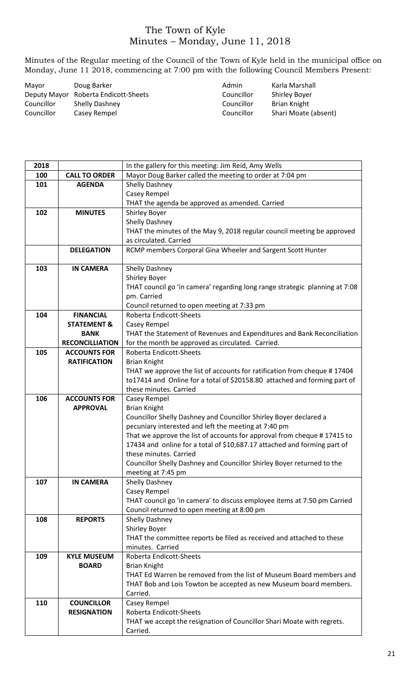## The Town of Kyle Minutes – Monday, June 11, 2018

Minutes of the Regular meeting of the Council of the Town of Kyle held in the municipal office on Monday, June 11 2018, commencing at 7:00 pm with the following Council Members Present:

| Mayor      | Doug Barker                          | Admin      | Karla Marshall       |
|------------|--------------------------------------|------------|----------------------|
|            | Deputy Mayor Roberta Endicott-Sheets | Councillor | <b>Shirley Boyer</b> |
| Councillor | <b>Shelly Dashney</b>                | Councillor | Brian Knight         |
| Councillor | Casey Rempel                         | Councillor | Shari Moate (absent) |

| 2018 |                        | In the gallery for this meeting: Jim Reid, Amy Wells                        |  |
|------|------------------------|-----------------------------------------------------------------------------|--|
| 100  | <b>CALL TO ORDER</b>   | Mayor Doug Barker called the meeting to order at 7:04 pm                    |  |
| 101  | <b>AGENDA</b>          | Shelly Dashney                                                              |  |
|      |                        | Casey Rempel                                                                |  |
|      |                        | THAT the agenda be approved as amended. Carried                             |  |
| 102  | <b>MINUTES</b>         | <b>Shirley Boyer</b>                                                        |  |
|      |                        | Shelly Dashney                                                              |  |
|      |                        | THAT the minutes of the May 9, 2018 regular council meeting be approved     |  |
|      |                        | as circulated. Carried                                                      |  |
|      | <b>DELEGATION</b>      | RCMP members Corporal Gina Wheeler and Sargent Scott Hunter                 |  |
|      |                        |                                                                             |  |
| 103  | <b>IN CAMERA</b>       | Shelly Dashney                                                              |  |
|      |                        | <b>Shirley Boyer</b>                                                        |  |
|      |                        | THAT council go 'in camera' regarding long range strategic planning at 7:08 |  |
|      |                        | pm. Carried                                                                 |  |
|      |                        | Council returned to open meeting at 7:33 pm                                 |  |
| 104  | <b>FINANCIAL</b>       | <b>Roberta Endicott-Sheets</b>                                              |  |
|      | <b>STATEMENT &amp;</b> | Casey Rempel                                                                |  |
|      | <b>BANK</b>            | THAT the Statement of Revenues and Expenditures and Bank Reconciliation     |  |
|      | <b>RECONCILLIATION</b> | for the month be approved as circulated. Carried.                           |  |
| 105  | <b>ACCOUNTS FOR</b>    | Roberta Endicott-Sheets                                                     |  |
|      | <b>RATIFICATION</b>    | <b>Brian Knight</b>                                                         |  |
|      |                        | THAT we approve the list of accounts for ratification from cheque #17404    |  |
|      |                        | to17414 and Online for a total of \$20158.80 attached and forming part of   |  |
|      |                        | these minutes. Carried                                                      |  |
| 106  | <b>ACCOUNTS FOR</b>    | Casey Rempel                                                                |  |
|      | <b>APPROVAL</b>        | <b>Brian Knight</b>                                                         |  |
|      |                        | Councillor Shelly Dashney and Councillor Shirley Boyer declared a           |  |
|      |                        | pecuniary interested and left the meeting at 7:40 pm                        |  |
|      |                        | That we approve the list of accounts for approval from cheque #17415 to     |  |
|      |                        | 17434 and online for a total of \$10,687.17 attached and forming part of    |  |
|      |                        | these minutes. Carried                                                      |  |
|      |                        | Councillor Shelly Dashney and Councillor Shirley Boyer returned to the      |  |
|      |                        | meeting at 7:45 pm                                                          |  |
| 107  | <b>IN CAMERA</b>       | Shelly Dashney                                                              |  |
|      |                        | Casey Rempel                                                                |  |
|      |                        | THAT council go 'in camera' to discuss employee items at 7:50 pm Carried    |  |
|      |                        | Council returned to open meeting at 8:00 pm                                 |  |
| 108  | <b>REPORTS</b>         | Shelly Dashney                                                              |  |
|      |                        | Shirley Boyer                                                               |  |
|      |                        | THAT the committee reports be filed as received and attached to these       |  |
|      |                        | minutes. Carried                                                            |  |
| 109  | <b>KYLE MUSEUM</b>     | <b>Roberta Endicott-Sheets</b>                                              |  |
|      | <b>BOARD</b>           | <b>Brian Knight</b>                                                         |  |
|      |                        | THAT Ed Warren be removed from the list of Museum Board members and         |  |
|      |                        | THAT Bob and Lois Towton be accepted as new Museum board members.           |  |
|      |                        | Carried.                                                                    |  |
| 110  | <b>COUNCILLOR</b>      | Casey Rempel                                                                |  |
|      | <b>RESIGNATION</b>     | Roberta Endicott-Sheets                                                     |  |
|      |                        | THAT we accept the resignation of Councillor Shari Moate with regrets.      |  |
|      |                        | Carried.                                                                    |  |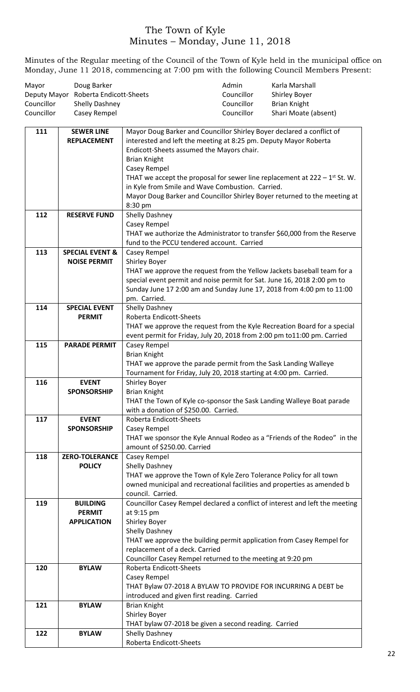## The Town of Kyle Minutes – Monday, June 11, 2018

Minutes of the Regular meeting of the Council of the Town of Kyle held in the municipal office on Monday, June 11 2018, commencing at 7:00 pm with the following Council Members Present:

| Mayor      | Doug Barker                          | Admin      | Karla Marshall       |
|------------|--------------------------------------|------------|----------------------|
|            | Deputy Mayor Roberta Endicott-Sheets | Councillor | Shirley Boyer        |
| Councillor | <b>Shelly Dashney</b>                | Councillor | Brian Knight         |
| Councillor | Casey Rempel                         | Councillor | Shari Moate (absent) |

| 111 | <b>SEWER LINE</b>          | Mayor Doug Barker and Councillor Shirley Boyer declared a conflict of                                                   |
|-----|----------------------------|-------------------------------------------------------------------------------------------------------------------------|
|     | <b>REPLACEMENT</b>         | interested and left the meeting at 8:25 pm. Deputy Mayor Roberta                                                        |
|     |                            | Endicott-Sheets assumed the Mayors chair.                                                                               |
|     |                            | <b>Brian Knight</b>                                                                                                     |
|     |                            | Casey Rempel<br>THAT we accept the proposal for sewer line replacement at $222 - 1$ <sup>st</sup> St. W.                |
|     |                            | in Kyle from Smile and Wave Combustion. Carried.                                                                        |
|     |                            | Mayor Doug Barker and Councillor Shirley Boyer returned to the meeting at                                               |
|     |                            | 8:30 pm                                                                                                                 |
| 112 | <b>RESERVE FUND</b>        | Shelly Dashney                                                                                                          |
|     |                            | Casey Rempel                                                                                                            |
|     |                            | THAT we authorize the Administrator to transfer \$60,000 from the Reserve<br>fund to the PCCU tendered account. Carried |
| 113 | <b>SPECIAL EVENT &amp;</b> | <b>Casey Rempel</b>                                                                                                     |
|     | <b>NOISE PERMIT</b>        | <b>Shirley Boyer</b>                                                                                                    |
|     |                            | THAT we approve the request from the Yellow Jackets baseball team for a                                                 |
|     |                            | special event permit and noise permit for Sat. June 16, 2018 2:00 pm to                                                 |
|     |                            | Sunday June 17 2:00 am and Sunday June 17, 2018 from 4:00 pm to 11:00                                                   |
|     |                            | pm. Carried.                                                                                                            |
| 114 | <b>SPECIAL EVENT</b>       | Shelly Dashney                                                                                                          |
|     | <b>PERMIT</b>              | Roberta Endicott-Sheets                                                                                                 |
|     |                            | THAT we approve the request from the Kyle Recreation Board for a special                                                |
|     |                            | event permit for Friday, July 20, 2018 from 2:00 pm to11:00 pm. Carried                                                 |
| 115 | <b>PARADE PERMIT</b>       | Casey Rempel<br><b>Brian Knight</b>                                                                                     |
|     |                            | THAT we approve the parade permit from the Sask Landing Walleye                                                         |
|     |                            | Tournament for Friday, July 20, 2018 starting at 4:00 pm. Carried.                                                      |
| 116 | <b>EVENT</b>               | <b>Shirley Boyer</b>                                                                                                    |
|     | <b>SPONSORSHIP</b>         | <b>Brian Knight</b>                                                                                                     |
|     |                            | THAT the Town of Kyle co-sponsor the Sask Landing Walleye Boat parade                                                   |
|     |                            | with a donation of \$250.00. Carried.                                                                                   |
| 117 | <b>EVENT</b>               | Roberta Endicott-Sheets                                                                                                 |
|     | <b>SPONSORSHIP</b>         | Casey Rempel                                                                                                            |
|     |                            | THAT we sponsor the Kyle Annual Rodeo as a "Friends of the Rodeo" in the<br>amount of \$250.00. Carried                 |
| 118 | <b>ZERO-TOLERANCE</b>      | Casey Rempel                                                                                                            |
|     | <b>POLICY</b>              | Shelly Dashney                                                                                                          |
|     |                            | THAT we approve the Town of Kyle Zero Tolerance Policy for all town                                                     |
|     |                            | owned municipal and recreational facilities and properties as amended b                                                 |
|     |                            | council. Carried.                                                                                                       |
| 119 | <b>BUILDING</b>            | Councillor Casey Rempel declared a conflict of interest and left the meeting                                            |
|     | <b>PERMIT</b>              | at 9:15 pm                                                                                                              |
|     | <b>APPLICATION</b>         | <b>Shirley Boyer</b>                                                                                                    |
|     |                            | Shelly Dashney<br>THAT we approve the building permit application from Casey Rempel for                                 |
|     |                            | replacement of a deck. Carried                                                                                          |
|     |                            | Councillor Casey Rempel returned to the meeting at 9:20 pm                                                              |
| 120 | <b>BYLAW</b>               | Roberta Endicott-Sheets                                                                                                 |
|     |                            | Casey Rempel                                                                                                            |
|     |                            | THAT Bylaw 07-2018 A BYLAW TO PROVIDE FOR INCURRING A DEBT be                                                           |
|     |                            | introduced and given first reading. Carried                                                                             |
| 121 | <b>BYLAW</b>               | <b>Brian Knight</b>                                                                                                     |
|     |                            | Shirley Boyer                                                                                                           |
|     |                            | THAT bylaw 07-2018 be given a second reading. Carried                                                                   |
| 122 | <b>BYLAW</b>               | Shelly Dashney<br>Roberta Endicott-Sheets                                                                               |
|     |                            |                                                                                                                         |